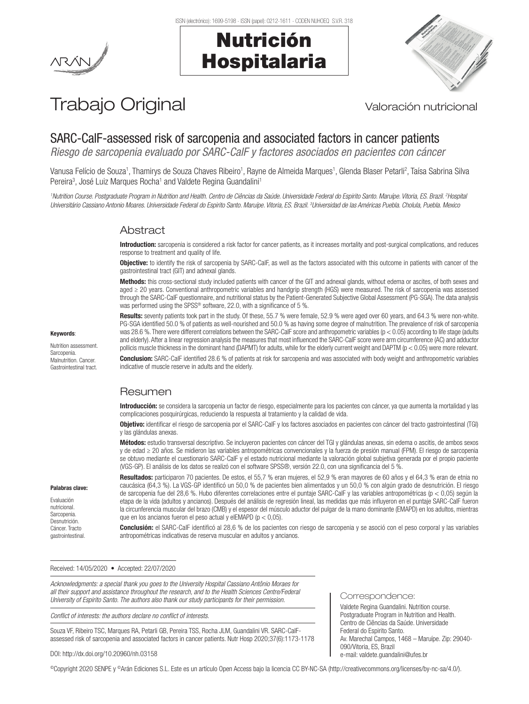# Nutrición Hospitalaria



# Trabajo Original Valoración nutricional

# SARC-CalF-assessed risk of sarcopenia and associated factors in cancer patients

*Riesgo de sarcopenia evaluado por SARC-CalF y factores asociados en pacientes con cáncer*

Vanusa Felício de Souza<sup>1</sup>, Thamirys de Souza Chaves Ribeiro<sup>1</sup>, Rayne de Almeida Marques<sup>1</sup>, Glenda Blaser Petarli<sup>2</sup>, Taísa Sabrina Silva Pereira<sup>3</sup>, José Luiz Marques Rocha<sup>1</sup> and Valdete Regina Guandalini<sup>1</sup>

*1 Nutrition Course. Postgraduate Program in Nutrition and Health. Centro de Ciências da Saúde. Universidade Federal do Espirito Santo. Maruípe. Vitoria, ES. Brazil. 2 Hospital Universitário Cassiano Antonio Moares. Universidade Federal do Espirito Santo. Maruípe. Vitoria, ES. Brazil. 3 Universidad de las Américas Puebla. Cholula, Puebla. Mexico*

# Abstract

Introduction: sarcopenia is considered a risk factor for cancer patients, as it increases mortality and post-surgical complications, and reduces response to treatment and quality of life.

**Objective:** to identify the risk of sarcopenia by SARC-CalF, as well as the factors associated with this outcome in patients with cancer of the gastrointestinal tract (GIT) and adnexal glands.

Methods: this cross-sectional study included patients with cancer of the GIT and adnexal glands, without edema or ascites, of both sexes and aged ≥ 20 years. Conventional anthropometric variables and handgrip strength (HGS) were measured. The risk of sarcopenia was assessed through the SARC-CalF questionnaire, and nutritional status by the Patient-Generated Subjective Global Assessment (PG-SGA). The data analysis was performed using the SPSS® software, 22.0, with a significance of 5 %.

Results: seventy patients took part in the study. Of these, 55.7 % were female, 52.9 % were aged over 60 years, and 64.3 % were non-white. PG-SGA identified 50.0 % of patients as well-nourished and 50.0 % as having some degree of malnutrition. The prevalence of risk of sarcopenia was 28.6 %. There were different correlations between the SARC-CalF score and anthropometric variables (p < 0.05) according to life stage (adults and elderly). After a linear regression analysis the measures that most influenced the SARC-CalF score were arm circumference (AC) and adductor pollicis muscle thickness in the dominant hand (DAPMT) for adults, while for the elderly current weight and DAPTM (p < 0.05) were more relevant.

Conclusion: SARC-CalF identified 28.6 % of patients at risk for sarcopenia and was associated with body weight and anthropometric variables indicative of muscle reserve in adults and the elderly.

# Resumen

Introducción: se considera la sarcopenia un factor de riesgo, especialmente para los pacientes con cáncer, ya que aumenta la mortalidad y las complicaciones posquirúrgicas, reduciendo la respuesta al tratamiento y la calidad de vida.

Objetivo: identificar el riesgo de sarcopenia por el SARC-CalF y los factores asociados en pacientes con cáncer del tracto gastrointestinal (TGI) y las glándulas anexas.

Métodos: estudio transversal descriptivo. Se incluyeron pacientes con cáncer del TGI y glándulas anexas, sin edema o ascitis, de ambos sexos y de edad ≥ 20 años. Se midieron las variables antropométricas convencionales y la fuerza de presión manual (FPM). El riesgo de sarcopenia se obtuvo mediante el cuestionario SARC-CalF y el estado nutricional mediante la valoración global subjetiva generada por el propio paciente (VGS-GP). El análisis de los datos se realizó con el software SPSS®, versión 22.0, con una significancia del 5 %.

Resultados: participaron 70 pacientes. De estos, el 55,7 % eran mujeres, el 52,9 % eran mayores de 60 años y el 64,3 % eran de etnia no caucásica (64,3 %). La VGS-GP identificó un 50,0 % de pacientes bien alimentados y un 50,0 % con algún grado de desnutrición. El riesgo de sarcopenia fue del 28,6 %. Hubo diferentes correlaciones entre el puntaje SARC-CalF y las variables antropométricas (p < 0,05) según la etapa de la vida (adultos y ancianos). Después del análisis de regresión lineal, las medidas que más influyeron en el puntaje SARC-CalF fueron la circunferencia muscular del brazo (CMB) y el espesor del músculo aductor del pulgar de la mano dominante (EMAPD) en los adultos, mientras que en los ancianos fueron el peso actual y elEMAPD (p < 0,05).

Conclusión: el SARC-CalF identificó al 28,6 % de los pacientes con riesgo de sarcopenia y se asoció con el peso corporal y las variables antropométricas indicativas de reserva muscular en adultos y ancianos.

Correspondence:

Federal do Espirito Santo.

e-mail: valdete.guandalini@ufes.br

090/Vitoria, ES, Brazil

Valdete Regina Guandalini. Nutrition course. Postgraduate Program in Nutrition and Health. Centro de Ciências da Saúde. Universidade

Av. Marechal Campos, 1468 – Maruípe. Zip: 29040-

Received: 14/05/2020 • Accepted: 22/07/2020

*Acknowledgments: a special thank you goes to the University Hospital Cassiano Antônio Moraes for all their support and assistance throughout the research, and to the Health Sciences Centre/Federal University of Espirito Santo. The authors also thank our study participants for their permission.*

*Conflict of interests: the authors declare no conflict of interests.*

Souza VF, Ribeiro TSC, Marques RA, Petarli GB, Pereira TSS, Rocha JLM, Guandalini VR. SARC-CalFassessed risk of sarcopenia and associated factors in cancer patients. Nutr Hosp 2020;37(6):1173-1178

#### DOI: http://dx.doi.org/10.20960/nh.03158

©Copyright 2020 SENPE y ©Arán Ediciones S.L. Este es un artículo Open Access bajo la licencia CC BY-NC-SA (http://creativecommons.org/licenses/by-nc-sa/4.0/).

Nutrition assessment. Sarconenia Malnutrition. Cancer. Gastrointestinal tract.

Keywords:

Palabras clave: Evaluación nutricional. Sarcopenia. Desnutrición. Cáncer. Tracto gastrointestinal.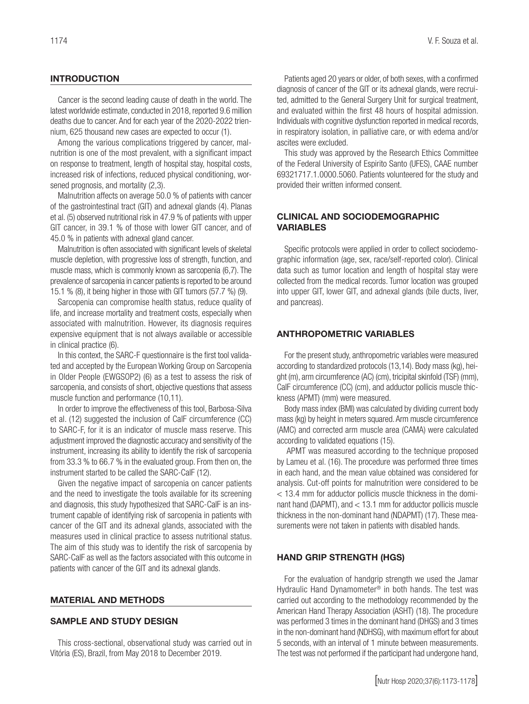# INTRODUCTION

Cancer is the second leading cause of death in the world. The latest worldwide estimate, conducted in 2018, reported 9.6 million deaths due to cancer. And for each year of the 2020-2022 triennium, 625 thousand new cases are expected to occur (1).

Among the various complications triggered by cancer, malnutrition is one of the most prevalent, with a significant impact on response to treatment, length of hospital stay, hospital costs, increased risk of infections, reduced physical conditioning, worsened prognosis, and mortality (2,3).

Malnutrition affects on average 50.0 % of patients with cancer of the gastrointestinal tract (GIT) and adnexal glands (4). Planas et al. (5) observed nutritional risk in 47.9 % of patients with upper GIT cancer, in 39.1 % of those with lower GIT cancer, and of 45.0 % in patients with adnexal gland cancer.

Malnutrition is often associated with significant levels of skeletal muscle depletion, with progressive loss of strength, function, and muscle mass, which is commonly known as sarcopenia (6,7). The prevalence of sarcopenia in cancer patients is reported to be around 15.1 % (8), it being higher in those with GIT tumors (57.7 %) (9).

Sarcopenia can compromise health status, reduce quality of life, and increase mortality and treatment costs, especially when associated with malnutrition. However, its diagnosis requires expensive equipment that is not always available or accessible in clinical practice (6).

In this context, the SARC-F questionnaire is the first tool validated and accepted by the European Working Group on Sarcopenia in Older People (EWGSOP2) (6) as a test to assess the risk of sarcopenia, and consists of short, objective questions that assess muscle function and performance (10,11).

In order to improve the effectiveness of this tool, Barbosa-Silva et al. (12) suggested the inclusion of CalF circumference (CC) to SARC-F, for it is an indicator of muscle mass reserve. This adjustment improved the diagnostic accuracy and sensitivity of the instrument, increasing its ability to identify the risk of sarcopenia from 33.3 % to 66.7 % in the evaluated group. From then on, the instrument started to be called the SARC-CalF (12).

Given the negative impact of sarcopenia on cancer patients and the need to investigate the tools available for its screening and diagnosis, this study hypothesized that SARC-CalF is an instrument capable of identifying risk of sarcopenia in patients with cancer of the GIT and its adnexal glands, associated with the measures used in clinical practice to assess nutritional status. The aim of this study was to identify the risk of sarcopenia by SARC-CalF as well as the factors associated with this outcome in patients with cancer of the GIT and its adnexal glands.

#### MATERIAL AND METHODS

#### SAMPLE AND STUDY DESIGN

This cross-sectional, observational study was carried out in Vitória (ES), Brazil, from May 2018 to December 2019.

Patients aged 20 years or older, of both sexes, with a confirmed diagnosis of cancer of the GIT or its adnexal glands, were recruited, admitted to the General Surgery Unit for surgical treatment, and evaluated within the first 48 hours of hospital admission. Individuals with cognitive dysfunction reported in medical records, in respiratory isolation, in palliative care, or with edema and/or ascites were excluded.

This study was approved by the Research Ethics Committee of the Federal University of Espirito Santo (UFES), CAAE number 69321717.1.0000.5060. Patients volunteered for the study and provided their written informed consent.

# CLINICAL AND SOCIODEMOGRAPHIC VARIABLES

Specific protocols were applied in order to collect sociodemographic information (age, sex, race/self-reported color). Clinical data such as tumor location and length of hospital stay were collected from the medical records. Tumor location was grouped into upper GIT, lower GIT, and adnexal glands (bile ducts, liver, and pancreas).

# ANTHROPOMETRIC VARIABLES

For the present study, anthropometric variables were measured according to standardized protocols (13,14). Body mass (kg), height (m), arm circumference (AC) (cm), tricipital skinfold (TSF) (mm), CalF circumference (CC) (cm), and adductor pollicis muscle thickness (APMT) (mm) were measured.

Body mass index (BMI) was calculated by dividing current body mass (kg) by height in meters squared. Arm muscle circumference (AMC) and corrected arm muscle area (CAMA) were calculated according to validated equations (15).

 APMT was measured according to the technique proposed by Lameu et al. (16). The procedure was performed three times in each hand, and the mean value obtained was considered for analysis. Cut-off points for malnutrition were considered to be < 13.4 mm for adductor pollicis muscle thickness in the dominant hand (DAPMT), and < 13.1 mm for adductor pollicis muscle thickness in the non-dominant hand (NDAPMT) (17). These measurements were not taken in patients with disabled hands.

#### HAND GRIP STRENGTH (HGS)

For the evaluation of handgrip strength we used the Jamar Hydraulic Hand Dynamometer® in both hands. The test was carried out according to the methodology recommended by the American Hand Therapy Association (ASHT) (18). The procedure was performed 3 times in the dominant hand (DHGS) and 3 times in the non-dominant hand (NDHSG), with maximum effort for about 5 seconds, with an interval of 1 minute between measurements. The test was not performed if the participant had undergone hand,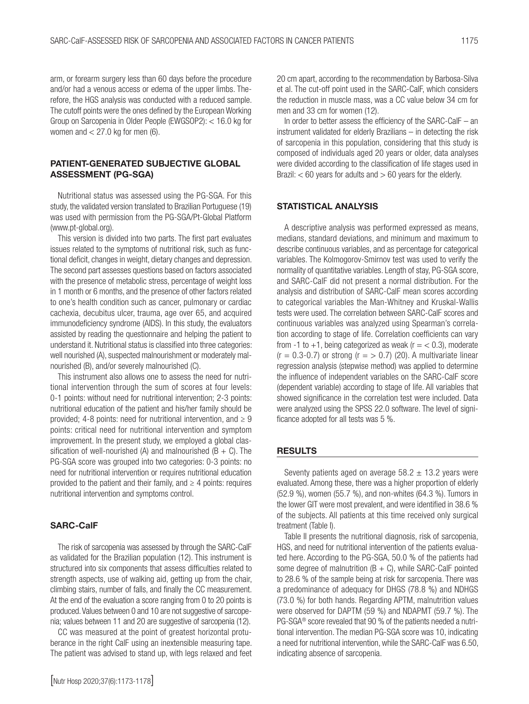arm, or forearm surgery less than 60 days before the procedure and/or had a venous access or edema of the upper limbs. Therefore, the HGS analysis was conducted with a reduced sample. The cutoff points were the ones defined by the European Working Group on Sarcopenia in Older People (EWGSOP2): < 16.0 kg for women and  $<$  27.0 kg for men (6).

# PATIENT-GENERATED SUBJECTIVE GLOBAL ASSESSMENT (PG-SGA)

Nutritional status was assessed using the PG-SGA. For this study, the validated version translated to Brazilian Portuguese (19) was used with permission from the PG-SGA/Pt-Global Platform (www.pt-global.org).

This version is divided into two parts. The first part evaluates issues related to the symptoms of nutritional risk, such as functional deficit, changes in weight, dietary changes and depression. The second part assesses questions based on factors associated with the presence of metabolic stress, percentage of weight loss in 1 month or 6 months, and the presence of other factors related to one's health condition such as cancer, pulmonary or cardiac cachexia, decubitus ulcer, trauma, age over 65, and acquired immunodeficiency syndrome (AIDS). In this study, the evaluators assisted by reading the questionnaire and helping the patient to understand it. Nutritional status is classified into three categories: well nourished (A), suspected malnourishment or moderately malnourished (B), and/or severely malnourished (C).

This instrument also allows one to assess the need for nutritional intervention through the sum of scores at four levels: 0-1 points: without need for nutritional intervention; 2-3 points: nutritional education of the patient and his/her family should be provided; 4-8 points: need for nutritional intervention, and  $\geq 9$ points: critical need for nutritional intervention and symptom improvement. In the present study, we employed a global classification of well-nourished (A) and malnourished (B + C). The PG-SGA score was grouped into two categories: 0-3 points: no need for nutritional intervention or requires nutritional education provided to the patient and their family, and  $\geq 4$  points: requires nutritional intervention and symptoms control.

# SARC-CalF

The risk of sarcopenia was assessed by through the SARC-CalF as validated for the Brazilian population (12). This instrument is structured into six components that assess difficulties related to strength aspects, use of walking aid, getting up from the chair, climbing stairs, number of falls, and finally the CC measurement. At the end of the evaluation a score ranging from 0 to 20 points is produced. Values between 0 and 10 are not suggestive of sarcopenia; values between 11 and 20 are suggestive of sarcopenia (12).

CC was measured at the point of greatest horizontal protuberance in the right CalF using an inextensible measuring tape. The patient was advised to stand up, with legs relaxed and feet

20 cm apart, according to the recommendation by Barbosa-Silva et al. The cut-off point used in the SARC-CalF, which considers the reduction in muscle mass, was a CC value below 34 cm for men and 33 cm for women (12).

In order to better assess the efficiency of the SARC-CalF – an instrument validated for elderly Brazilians – in detecting the risk of sarcopenia in this population, considering that this study is composed of individuals aged 20 years or older, data analyses were divided according to the classification of life stages used in Brazil:  $<$  60 years for adults and  $>$  60 years for the elderly.

## STATISTICAL ANALYSIS

A descriptive analysis was performed expressed as means, medians, standard deviations, and minimum and maximum to describe continuous variables, and as percentage for categorical variables. The Kolmogorov-Smirnov test was used to verify the normality of quantitative variables. Length of stay, PG-SGA score, and SARC-CalF did not present a normal distribution. For the analysis and distribution of SARC-CalF mean scores according to categorical variables the Man-Whitney and Kruskal-Wallis tests were used. The correlation between SARC-CalF scores and continuous variables was analyzed using Spearman's correlation according to stage of life. Correlation coefficients can vary from -1 to +1, being categorized as weak ( $r = < 0.3$ ), moderate  $(r = 0.3-0.7)$  or strong  $(r = > 0.7)$  (20). A multivariate linear regression analysis (stepwise method) was applied to determine the influence of independent variables on the SARC-CalF score (dependent variable) according to stage of life. All variables that showed significance in the correlation test were included. Data were analyzed using the SPSS 22.0 software. The level of significance adopted for all tests was 5 %.

## RESULTS

Seventy patients aged on average  $58.2 \pm 13.2$  years were evaluated. Among these, there was a higher proportion of elderly (52.9 %), women (55.7 %), and non-whites (64.3 %). Tumors in the lower GIT were most prevalent, and were identified in 38.6 % of the subjects. All patients at this time received only surgical treatment (Table I).

Table II presents the nutritional diagnosis, risk of sarcopenia, HGS, and need for nutritional intervention of the patients evaluated here. According to the PG-SGA, 50.0 % of the patients had some degree of malnutrition  $(B + C)$ , while SARC-CalF pointed to 28.6 % of the sample being at risk for sarcopenia. There was a predominance of adequacy for DHGS (78.8 %) and NDHGS (73.0 %) for both hands. Regarding APTM, malnutrition values were observed for DAPTM (59 %) and NDAPMT (59.7 %). The PG-SGA® score revealed that 90 % of the patients needed a nutritional intervention. The median PG-SGA score was 10, indicating a need for nutritional intervention, while the SARC-CalF was 6.50, indicating absence of sarcopenia.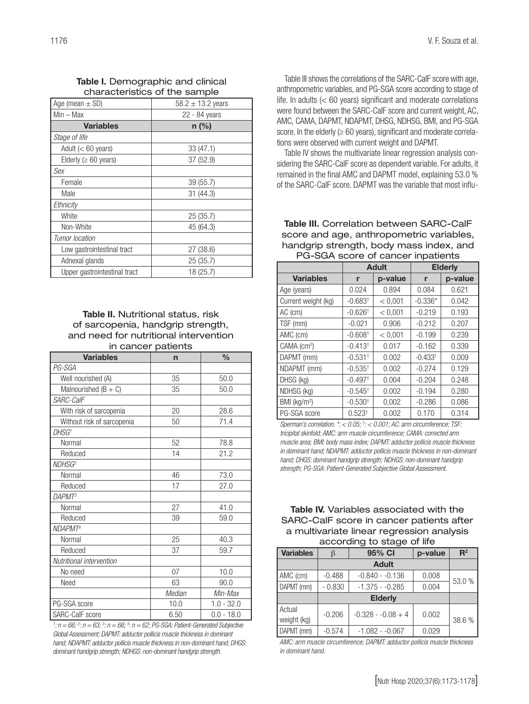Table I. Demographic and clinical characteristics of the sample

| Age (mean $\pm$ SD)          | $58.2 \pm 13.2$ years |
|------------------------------|-----------------------|
| Min – Max                    | 22 - 84 years         |
| <b>Variables</b>             | $n$ (%)               |
| Stage of life                |                       |
| Adult $(< 60$ years)         | 33 (47.1)             |
| Elderly ( $\geq 60$ years)   | 37 (52.9)             |
| Sex                          |                       |
| Female                       | 39 (55.7)             |
| Male                         | 31(44.3)              |
| Ethnicity                    |                       |
| White                        | 25 (35.7)             |
| Non-White                    | 45 (64.3)             |
| Tumor location               |                       |
| Low gastrointestinal tract   | 27 (38.6)             |
| Adnexal glands               | 25 (35.7)             |
| Upper gastrointestinal tract | 18 (25.7)             |

## Table II. Nutritional status, risk of sarcopenia, handgrip strength, and need for nutritional intervention in cancer patients

|                            | in vanver pauvino |               |  |
|----------------------------|-------------------|---------------|--|
| <b>Variables</b>           | $\mathsf{n}$      | $\frac{0}{0}$ |  |
| PG-SGA                     |                   |               |  |
| Well nourished (A)         | 35                | 50.0          |  |
| Malnourished $(B + C)$     | 35                | 50.0          |  |
| SARC-CalF                  |                   |               |  |
| With risk of sarcopenia    | 20                | 28.6          |  |
| Without risk of sarcopenia | 50                | 71.4          |  |
| DHSG <sup>1</sup>          |                   |               |  |
| Normal                     | 52                | 78.8          |  |
| Reduced                    | 14                | 21.2          |  |
| NDHSG <sup>2</sup>         |                   |               |  |
| Normal                     | 46                | 73.0          |  |
| Reduced                    | 17                | 27.0          |  |
| <b>DAPMT</b> <sup>3</sup>  |                   |               |  |
| Normal                     | 27                | 41.0          |  |
| Reduced                    | 39                | 59.0          |  |
| NDAPMT <sup>4</sup>        |                   |               |  |
| Normal                     | 25                | 40.3          |  |
| Reduced                    | 37                | 59.7          |  |
| Nutritional intervention   |                   |               |  |
| No need                    | 07                | 10.0          |  |
| Need                       | 63                | 90.0          |  |
|                            | Median            | Min-Max       |  |
| PG-SGA score               | 10.0              | $1.0 - 32.0$  |  |
| SARC-CalF score            | 6.50              | $0.0 - 18.0$  |  |

*1 : n = 66; 2 : n = 63; 3 : n = 66; 4 : n = 62; PG-SGA: Patient-Generated Subjective Global Assessment; DAPMT: adductor pollicis muscle thickness in dominant hand; NDAPMT: adductor pollicis muscle thickness in non-dominant hand; DHGS: dominant handgrip strength; NDHGS: non-dominant handgrip strength.*

Table III shows the correlations of the SARC-CalF score with age, anthropometric variables, and PG-SGA score according to stage of life. In adults (< 60 years) significant and moderate correlations were found between the SARC-CalF score and current weight, AC, AMC, CAMA, DAPMT, NDAPMT, DHSG, NDHSG, BMI, and PG-SGA score. In the elderly  $(≥ 60 years)$ , significant and moderate correlations were observed with current weight and DAPMT.

Table IV shows the multivariate linear regression analysis considering the SARC-CalF score as dependent variable. For adults, it remained in the final AMC and DAPMT model, explaining 53.0 % of the SARC-CalF score. DAPMT was the variable that most influ-

Table III. Correlation between SARC-CalF score and age, anthropometric variables, handgrip strength, body mass index, and PG-SGA score of cancer inpatients

|                          | <b>Adult</b>          |         | <b>Elderly</b> |         |
|--------------------------|-----------------------|---------|----------------|---------|
| <b>Variables</b>         | r                     | p-value | r              | p-value |
| Age (years)              | 0.024                 | 0.894   | 0.084          | 0.621   |
| Current weight (kg)      | $-0.683$ <sup>+</sup> | < 0.001 | $-0.336*$      | 0.042   |
| AC (cm)                  | $-0.626$ <sup>+</sup> | < 0,001 | $-0.219$       | 0.193   |
| TSF (mm)                 | $-0.021$              | 0.906   | $-0.212$       | 0.207   |
| AMC (cm)                 | $-0.608$ <sup>+</sup> | < 0.001 | $-0.199$       | 0.239   |
| CAMA (cm <sup>2</sup> )  | $-0.413$ <sup>+</sup> | 0.017   | $-0.162$       | 0.339   |
| DAPMT (mm)               | $-0.531$ <sup>+</sup> | 0.002   | $-0.433^{+}$   | 0.009   |
| NDAPMT (mm)              | $-0.535$ <sup>+</sup> | 0.002   | $-0.274$       | 0.129   |
| DHSG (kg)                | $-0.497$ <sup>+</sup> | 0.004   | $-0.204$       | 0.248   |
| NDHSG (kg)               | $-0.545$ <sup>+</sup> | 0.002   | $-0.194$       | 0.280   |
| BMI (kg/m <sup>2</sup> ) | $-0.530$ <sup>+</sup> | 0,002   | $-0.286$       | 0.086   |
| PG-SGA score             | $0.523^{+}$           | 0.002   | 0.170          | 0.314   |

*Sperman's correlation. \*: < 0.05; † : < 0.001; AC: arm circumference; TSF: tricipital skinfold; AMC: arm muscle circumference; CAMA: corrected arm muscle area; BMI: body mass index; DAPMT: adductor pollicis muscle thickness in dominant hand; NDAPMT: adductor pollicis muscle thickness in non-dominant hand; DHGS: dominant handgrip strength; NDHGS: non-dominant handgrip strength; PG-SGA: Patient-Generated Subjective Global Assessment.*

Table IV. Variables associated with the SARC-CalF score in cancer patients after a multivariate linear regression analysis according to stage of life

| <b>Variables</b> |          | 95% CI              | p-value | $R^2$  |
|------------------|----------|---------------------|---------|--------|
|                  |          |                     |         |        |
| AMC (cm)         | $-0.488$ | $-0.840 - 0.136$    | 0.008   |        |
| DAPMT (mm)       | $-0.830$ | $-1.375 - 0.285$    | 0.004   | 53.0 % |
| <b>Elderly</b>   |          |                     |         |        |
| Actual           | $-0.206$ | $-0.328 - 0.08 + 4$ | 0.002   |        |
| weight (kg)      |          |                     |         | 38.6 % |
| DAPMT (mm)       | $-0.574$ | $-1.082 - 0.067$    | 0.029   |        |

*AMC: arm muscle circumference; DAPMT: adductor pollicis muscle thickness in dominant hand.*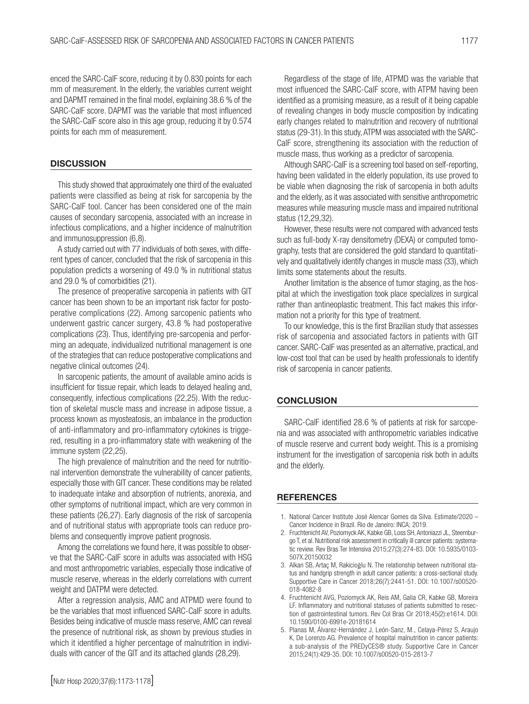enced the SARC-CalF score, reducing it by 0.830 points for each mm of measurement. In the elderly, the variables current weight and DAPMT remained in the final model, explaining 38.6 % of the SARC-CalF score. DAPMT was the variable that most influenced the SARC-CalF score also in this age group, reducing it by 0.574 points for each mm of measurement.

## **DISCUSSION**

This study showed that approximately one third of the evaluated patients were classified as being at risk for sarcopenia by the SARC-CalF tool. Cancer has been considered one of the main causes of secondary sarcopenia, associated with an increase in infectious complications, and a higher incidence of malnutrition and immunosuppression (6,8).

A study carried out with 77 individuals of both sexes, with different types of cancer, concluded that the risk of sarcopenia in this population predicts a worsening of 49.0 % in nutritional status and 29.0 % of comorbidities (21).

The presence of preoperative sarcopenia in patients with GIT cancer has been shown to be an important risk factor for postoperative complications (22). Among sarcopenic patients who underwent gastric cancer surgery, 43.8 % had postoperative complications (23). Thus, identifying pre-sarcopenia and performing an adequate, individualized nutritional management is one of the strategies that can reduce postoperative complications and negative clinical outcomes (24).

In sarcopenic patients, the amount of available amino acids is insufficient for tissue repair, which leads to delayed healing and, consequently, infectious complications (22,25). With the reduction of skeletal muscle mass and increase in adipose tissue, a process known as myosteatosis, an imbalance in the production of anti-inflammatory and pro-inflammatory cytokines is triggered, resulting in a pro-inflammatory state with weakening of the immune system (22,25).

The high prevalence of malnutrition and the need for nutritional intervention demonstrate the vulnerability of cancer patients, especially those with GIT cancer. These conditions may be related to inadequate intake and absorption of nutrients, anorexia, and other symptoms of nutritional impact, which are very common in these patients (26,27). Early diagnosis of the risk of sarcopenia and of nutritional status with appropriate tools can reduce problems and consequently improve patient prognosis.

Among the correlations we found here, it was possible to observe that the SARC-CalF score in adults was associated with HSG and most anthropometric variables, especially those indicative of muscle reserve, whereas in the elderly correlations with current weight and DATPM were detected.

After a regression analysis, AMC and ATPMD were found to be the variables that most influenced SARC-CalF score in adults. Besides being indicative of muscle mass reserve, AMC can reveal the presence of nutritional risk, as shown by previous studies in which it identified a higher percentage of malnutrition in individuals with cancer of the GIT and its attached glands (28,29).

Regardless of the stage of life, ATPMD was the variable that most influenced the SARC-CalF score, with ATPM having been identified as a promising measure, as a result of it being capable of revealing changes in body muscle composition by indicating early changes related to malnutrition and recovery of nutritional status (29-31). In this study, ATPM was associated with the SARC-CalF score, strengthening its association with the reduction of muscle mass, thus working as a predictor of sarcopenia.

Although SARC-CalF is a screening tool based on self-reporting, having been validated in the elderly population, its use proved to be viable when diagnosing the risk of sarcopenia in both adults and the elderly, as it was associated with sensitive anthropometric measures while measuring muscle mass and impaired nutritional status (12,29,32).

However, these results were not compared with advanced tests such as full-body X-ray densitometry (DEXA) or computed tomography, tests that are considered the gold standard to quantitatively and qualitatively identify changes in muscle mass (33), which limits some statements about the results.

Another limitation is the absence of tumor staging, as the hospital at which the investigation took place specializes in surgical rather than antineoplastic treatment. This fact makes this information not a priority for this type of treatment.

To our knowledge, this is the first Brazilian study that assesses risk of sarcopenia and associated factors in patients with GIT cancer. SARC-CalF was presented as an alternative, practical, and low-cost tool that can be used by health professionals to identify risk of sarcopenia in cancer patients.

## **CONCLUSION**

SARC-CalF identified 28.6 % of patients at risk for sarcopenia and was associated with anthropometric variables indicative of muscle reserve and current body weight. This is a promising instrument for the investigation of sarcopenia risk both in adults and the elderly.

## **REFERENCES**

- 1. National Cancer Institute José Alencar Gomes da Silva. Estimate/2020 Cancer Incidence in Brazil. Rio de Janeiro: INCA; 2019.
- 2. Fruchtenicht AV, Poziomyck AK, Kabke GB, Loss SH, Antoniazzi JL, Steemburgo T, et al. Nutritional risk assessment in critically ill cancer patients: systematic review. Rev Bras Ter Intensiva 2015;27(3):274-83. DOI: 10.5935/0103- 507X.20150032
- 3. Alkan SB, Artaç M, Rakicioğlu N. The relationship between nutritional status and handgrip strength in adult cancer patients: a cross-sectional study. Supportive Care in Cancer 2018;26(7):2441-51. DOI: 10.1007/s00520- 018-4082-8
- 4. Fruchtenicht AVG, Poziomyck AK, Reis AM, Galia CR, Kabke GB, Moreira LF. Inflammatory and nutritional statuses of patients submitted to resection of gastrointestinal tumors. Rev Col Bras Cir 2018;45(2):e1614. DOI: 10.1590/0100-6991e-20181614
- 5. Planas M, Álvarez-Hernández J, León-Sanz, M., Celaya-Pérez S, Araujo K, De Lorenzo AG. Prevalence of hospital malnutrition in cancer patients: a sub-analysis of the PREDyCES® study. Supportive Care in Cancer 2015;24(1):429-35. DOI: 10.1007/s00520-015-2813-7